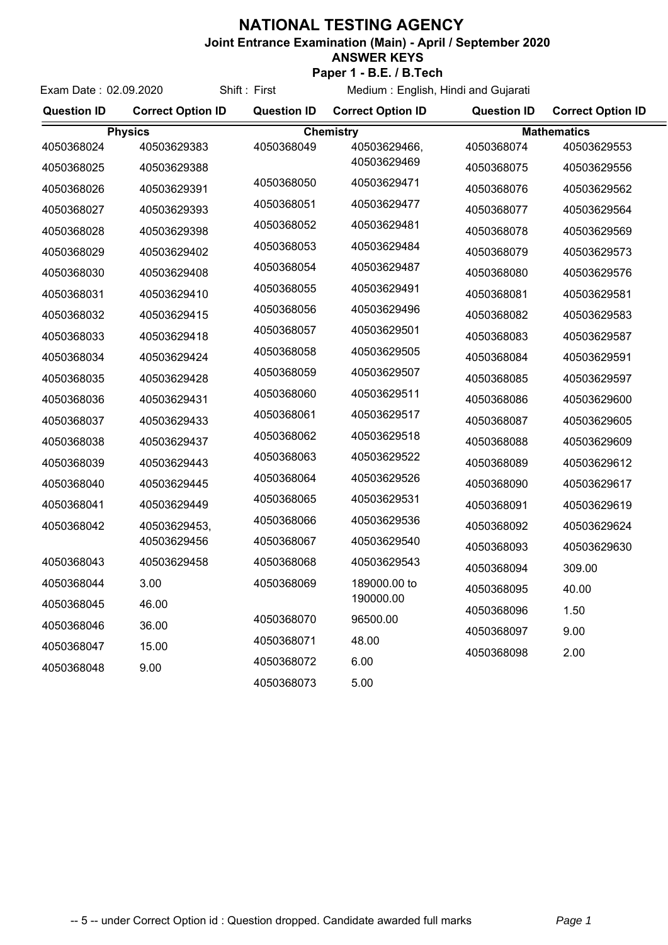## **NATIONAL TESTING AGENCY**

**Joint Entrance Examination (Main) - April / September 2020**

## **ANSWER KEYS**

Exam Date : 02.09.2020 Shift : First **Paper 1 - B.E. / B.Tech**

Medium : English, Hindi and Gujarati

| <b>Question ID</b> | <b>Correct Option ID</b> | <b>Question ID</b> | <b>Correct Option ID</b> | <b>Question ID</b> | <b>Correct Option ID</b> |  |
|--------------------|--------------------------|--------------------|--------------------------|--------------------|--------------------------|--|
| <b>Physics</b>     |                          | <b>Chemistry</b>   |                          |                    | <b>Mathematics</b>       |  |
| 4050368024         | 40503629383              | 4050368049         | 40503629466,             | 4050368074         | 40503629553              |  |
| 4050368025         | 40503629388              |                    | 40503629469              | 4050368075         | 40503629556              |  |
| 4050368026         | 40503629391              | 4050368050         | 40503629471              | 4050368076         | 40503629562              |  |
| 4050368027         | 40503629393              | 4050368051         | 40503629477              | 4050368077         | 40503629564              |  |
| 4050368028         | 40503629398              | 4050368052         | 40503629481              | 4050368078         | 40503629569              |  |
| 4050368029         | 40503629402              | 4050368053         | 40503629484              | 4050368079         | 40503629573              |  |
| 4050368030         | 40503629408              | 4050368054         | 40503629487              | 4050368080         | 40503629576              |  |
| 4050368031         | 40503629410              | 4050368055         | 40503629491              | 4050368081         | 40503629581              |  |
| 4050368032         | 40503629415              | 4050368056         | 40503629496              | 4050368082         | 40503629583              |  |
| 4050368033         | 40503629418              | 4050368057         | 40503629501              | 4050368083         | 40503629587              |  |
| 4050368034         | 40503629424              | 4050368058         | 40503629505              | 4050368084         | 40503629591              |  |
| 4050368035         | 40503629428              | 4050368059         | 40503629507              | 4050368085         | 40503629597              |  |
| 4050368036         | 40503629431              | 4050368060         | 40503629511              | 4050368086         | 40503629600              |  |
| 4050368037         | 40503629433              | 4050368061         | 40503629517              | 4050368087         | 40503629605              |  |
| 4050368038         | 40503629437              | 4050368062         | 40503629518              | 4050368088         | 40503629609              |  |
| 4050368039         | 40503629443              | 4050368063         | 40503629522              | 4050368089         | 40503629612              |  |
| 4050368040         | 40503629445              | 4050368064         | 40503629526              | 4050368090         | 40503629617              |  |
| 4050368041         | 40503629449              | 4050368065         | 40503629531              | 4050368091         | 40503629619              |  |
| 4050368042         | 40503629453,             | 4050368066         | 40503629536              | 4050368092         | 40503629624              |  |
|                    | 40503629456              | 4050368067         | 40503629540              | 4050368093         | 40503629630              |  |
| 4050368043         | 40503629458              | 4050368068         | 40503629543              | 4050368094         | 309.00                   |  |
| 4050368044         | 3.00                     | 4050368069         | 189000.00 to             | 4050368095         | 40.00                    |  |
| 4050368045         | 46.00                    |                    | 190000.00                | 4050368096         | 1.50                     |  |
| 4050368046         | 36.00                    | 4050368070         | 96500.00                 | 4050368097         | 9.00                     |  |
| 4050368047         | 15.00                    | 4050368071         | 48.00                    | 4050368098         | 2.00                     |  |
| 4050368048         | 9.00                     | 4050368072         | 6.00                     |                    |                          |  |
|                    |                          | 4050368073         | 5.00                     |                    |                          |  |